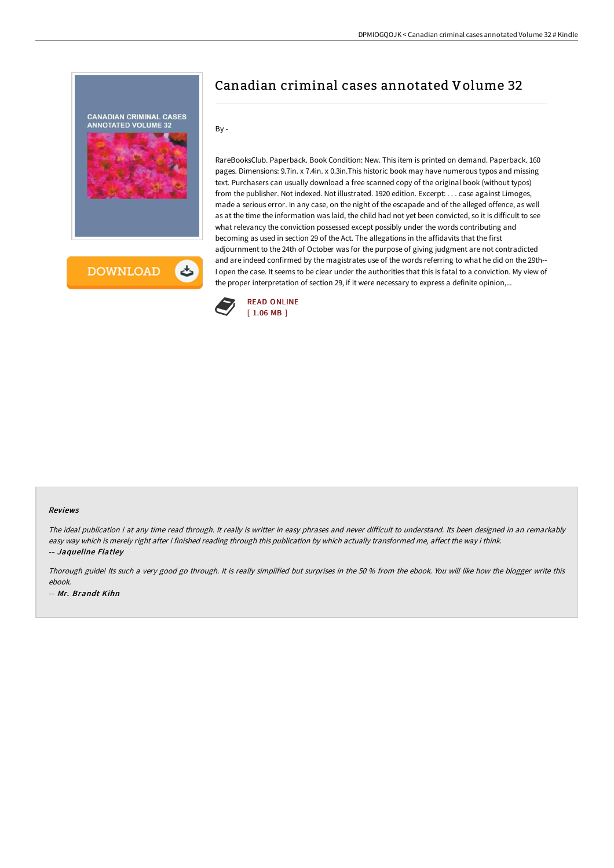

## Canadian criminal cases annotated Volume 32

By -

RareBooksClub. Paperback. Book Condition: New. This item is printed on demand. Paperback. 160 pages. Dimensions: 9.7in. x 7.4in. x 0.3in.This historic book may have numerous typos and missing text. Purchasers can usually download a free scanned copy of the original book (without typos) from the publisher. Not indexed. Not illustrated. 1920 edition. Excerpt: . . . case against Limoges, made a serious error. In any case, on the night of the escapade and of the alleged offence, as well as at the time the information was laid, the child had not yet been convicted, so it is difficult to see what relevancy the conviction possessed except possibly under the words contributing and becoming as used in section 29 of the Act. The allegations in the affidavits that the first adjournment to the 24th of October was for the purpose of giving judgment are not contradicted and are indeed confirmed by the magistrates use of the words referring to what he did on the 29th-- I open the case. It seems to be clear under the authorities that this is fatal to a conviction. My view of the proper interpretation of section 29, if it were necessary to express a definite opinion,...



## Reviews

The ideal publication i at any time read through. It really is writter in easy phrases and never difficult to understand. Its been designed in an remarkably easy way which is merely right after i finished reading through this publication by which actually transformed me, affect the way i think. -- Jaqueline Flatley

Thorough guide! Its such <sup>a</sup> very good go through. It is really simplified but surprises in the <sup>50</sup> % from the ebook. You will like how the blogger write this ebook. -- Mr. Brandt Kihn